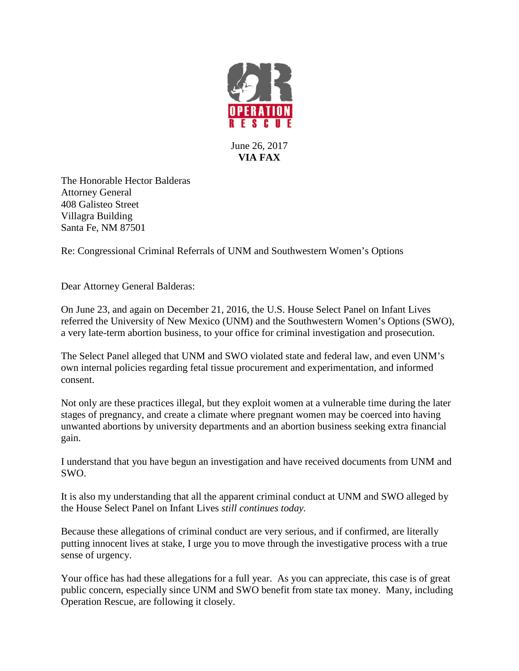

June 26, 2017 **VIA FAX**

The Honorable Hector Balderas Attorney General 408 Galisteo Street Villagra Building Santa Fe, NM 87501

Re: Congressional Criminal Referrals of UNM and Southwestern Women's Options

Dear Attorney General Balderas:

On June 23, and again on December 21, 2016, the U.S. House Select Panel on Infant Lives referred the University of New Mexico (UNM) and the Southwestern Women's Options (SWO), a very late-term abortion business, to your office for criminal investigation and prosecution.

The Select Panel alleged that UNM and SWO violated state and federal law, and even UNM's own internal policies regarding fetal tissue procurement and experimentation, and informed consent.

Not only are these practices illegal, but they exploit women at a vulnerable time during the later stages of pregnancy, and create a climate where pregnant women may be coerced into having unwanted abortions by university departments and an abortion business seeking extra financial gain.

I understand that you have begun an investigation and have received documents from UNM and SWO.

It is also my understanding that all the apparent criminal conduct at UNM and SWO alleged by the House Select Panel on Infant Lives *still continues today.*

Because these allegations of criminal conduct are very serious, and if confirmed, are literally putting innocent lives at stake, I urge you to move through the investigative process with a true sense of urgency.

Your office has had these allegations for a full year. As you can appreciate, this case is of great public concern, especially since UNM and SWO benefit from state tax money. Many, including Operation Rescue, are following it closely.